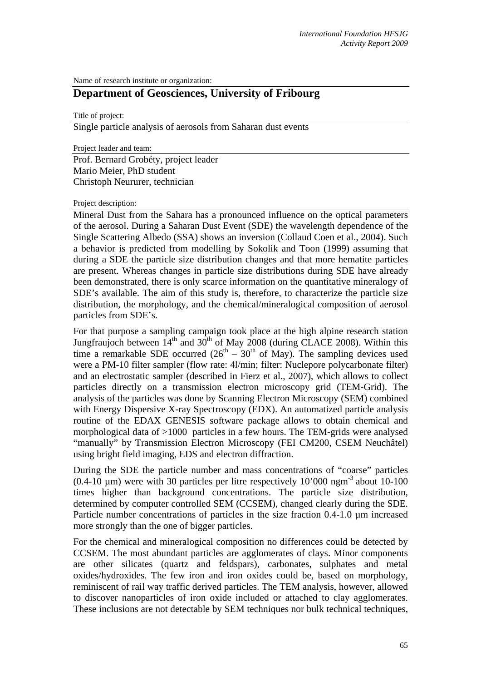Name of research institute or organization:

# **Department of Geosciences, University of Fribourg**

Title of project:

Single particle analysis of aerosols from Saharan dust events

Project leader and team:

Prof. Bernard Grobéty, project leader Mario Meier, PhD student Christoph Neururer, technician

#### Project description:

Mineral Dust from the Sahara has a pronounced influence on the optical parameters of the aerosol. During a Saharan Dust Event (SDE) the wavelength dependence of the Single Scattering Albedo (SSA) shows an inversion (Collaud Coen et al., 2004). Such a behavior is predicted from modelling by Sokolik and Toon (1999) assuming that during a SDE the particle size distribution changes and that more hematite particles are present. Whereas changes in particle size distributions during SDE have already been demonstrated, there is only scarce information on the quantitative mineralogy of SDE's available. The aim of this study is, therefore, to characterize the particle size distribution, the morphology, and the chemical/mineralogical composition of aerosol particles from SDE's.

For that purpose a sampling campaign took place at the high alpine research station Jungfraujoch between  $14<sup>th</sup>$  and  $30<sup>th</sup>$  of May 2008 (during CLACE 2008). Within this time a remarkable SDE occurred  $(26<sup>th</sup> – 30<sup>th</sup>$  of May). The sampling devices used were a PM-10 filter sampler (flow rate: 4l/min; filter: Nuclepore polycarbonate filter) and an electrostatic sampler (described in Fierz et al., 2007), which allows to collect particles directly on a transmission electron microscopy grid (TEM-Grid). The analysis of the particles was done by Scanning Electron Microscopy (SEM) combined with Energy Dispersive X-ray Spectroscopy (EDX). An automatized particle analysis routine of the EDAX GENESIS software package allows to obtain chemical and morphological data of >1000 particles in a few hours. The TEM-grids were analysed "manually" by Transmission Electron Microscopy (FEI CM200, CSEM Neuchâtel) using bright field imaging, EDS and electron diffraction.

During the SDE the particle number and mass concentrations of "coarse" particles  $(0.4\n-10 \mu m)$  were with 30 particles per litre respectively 10'000 ngm<sup>-3</sup> about 10-100 times higher than background concentrations. The particle size distribution, determined by computer controlled SEM (CCSEM), changed clearly during the SDE. Particle number concentrations of particles in the size fraction 0.4-1.0 µm increased more strongly than the one of bigger particles.

For the chemical and mineralogical composition no differences could be detected by CCSEM. The most abundant particles are agglomerates of clays. Minor components are other silicates (quartz and feldspars), carbonates, sulphates and metal oxides/hydroxides. The few iron and iron oxides could be, based on morphology, reminiscent of rail way traffic derived particles. The TEM analysis, however, allowed to discover nanoparticles of iron oxide included or attached to clay agglomerates. These inclusions are not detectable by SEM techniques nor bulk technical techniques,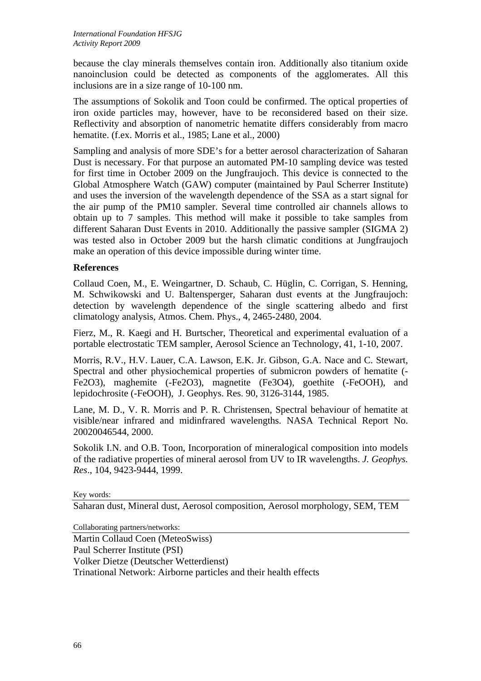because the clay minerals themselves contain iron. Additionally also titanium oxide nanoinclusion could be detected as components of the agglomerates. All this inclusions are in a size range of 10-100 nm.

The assumptions of Sokolik and Toon could be confirmed. The optical properties of iron oxide particles may, however, have to be reconsidered based on their size. Reflectivity and absorption of nanometric hematite differs considerably from macro hematite. (f.ex. Morris et al., 1985; Lane et al., 2000)

Sampling and analysis of more SDE's for a better aerosol characterization of Saharan Dust is necessary. For that purpose an automated PM-10 sampling device was tested for first time in October 2009 on the Jungfraujoch. This device is connected to the Global Atmosphere Watch (GAW) computer (maintained by Paul Scherrer Institute) and uses the inversion of the wavelength dependence of the SSA as a start signal for the air pump of the PM10 sampler. Several time controlled air channels allows to obtain up to 7 samples. This method will make it possible to take samples from different Saharan Dust Events in 2010. Additionally the passive sampler (SIGMA 2) was tested also in October 2009 but the harsh climatic conditions at Jungfraujoch make an operation of this device impossible during winter time.

## **References**

Collaud Coen, M., E. Weingartner, D. Schaub, C. Hüglin, C. Corrigan, S. Henning, M. Schwikowski and U. Baltensperger, Saharan dust events at the Jungfraujoch: detection by wavelength dependence of the single scattering albedo and first climatology analysis, Atmos. Chem. Phys., 4, 2465-2480, 2004.

Fierz, M., R. Kaegi and H. Burtscher, Theoretical and experimental evaluation of a portable electrostatic TEM sampler, Aerosol Science an Technology, 41, 1-10, 2007.

Morris, R.V., H.V. Lauer, C.A. Lawson, E.K. Jr. Gibson, G.A. Nace and C. Stewart, Spectral and other physiochemical properties of submicron powders of hematite (- Fe2O3), maghemite (-Fe2O3), magnetite (Fe3O4), goethite (-FeOOH), and lepidochrosite (-FeOOH), J. Geophys. Res. 90, 3126-3144, 1985.

Lane, M. D., V. R. Morris and P. R. Christensen, Spectral behaviour of hematite at visible/near infrared and midinfrared wavelengths. NASA Technical Report No. 20020046544, 2000.

Sokolik I.N. and O.B. Toon, Incorporation of mineralogical composition into models of the radiative properties of mineral aerosol from UV to IR wavelengths. *J. Geophys. Res*., 104, 9423-9444, 1999.

### Key words:

Saharan dust, Mineral dust, Aerosol composition, Aerosol morphology, SEM, TEM

Collaborating partners/networks:

Martin Collaud Coen (MeteoSwiss) Paul Scherrer Institute (PSI) Volker Dietze (Deutscher Wetterdienst) Trinational Network: Airborne particles and their health effects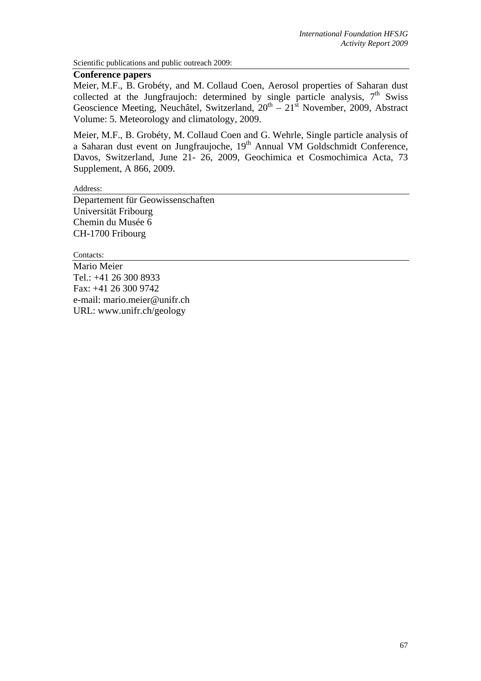Scientific publications and public outreach 2009:

### **Conference papers**

Meier, M.F., B. Grobéty, and M. Collaud Coen, Aerosol properties of Saharan dust collected at the Jungfraujoch: determined by single particle analysis,  $7<sup>th</sup>$  Swiss Geoscience Meeting, Neuchâtel, Switzerland,  $20^{th} - 21^{st}$  November, 2009, Abstract Volume: 5. Meteorology and climatology, 2009.

Meier, M.F., B. Grobéty, M. Collaud Coen and G. Wehrle, Single particle analysis of a Saharan dust event on Jungfraujoche, 19th Annual VM Goldschmidt Conference, Davos, Switzerland, June 21- 26, 2009, Geochimica et Cosmochimica Acta, 73 Supplement, A 866, 2009.

Address:

Departement für Geowissenschaften Universität Fribourg Chemin du Musée 6 CH-1700 Fribourg

Contacts:

Mario Meier Tel.: +41 26 300 8933 Fax: +41 26 300 9742 e-mail: mario.meier@unifr.ch URL: www.unifr.ch/geology